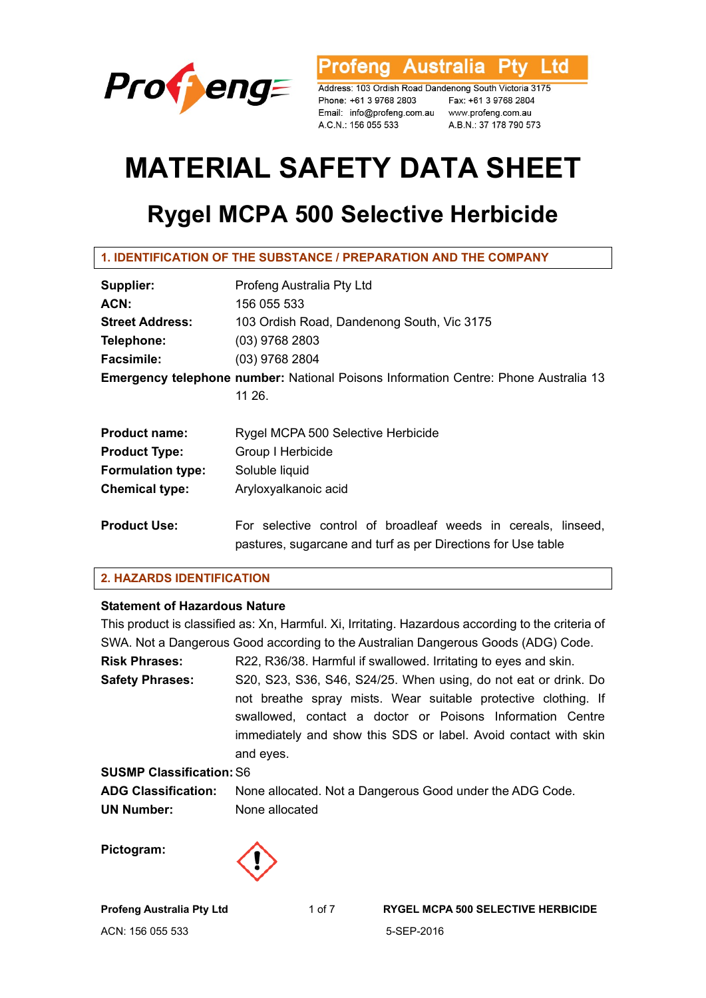

rofeng Australia Ltd

Address: 103 Ordish Road Dandenong South Victoria 3175 Phone: +61 3 9768 2803<br>
Fax: +61 3 9768 2804<br>
Email: info@profeng.com.au www.profeng.com.au A.C.N.: 156 055 533

A.B.N.: 37 178 790 573

# **MATERIAL SAFETY DATA SHEET**

# **Rygel MCPA 500 Selective Herbicide**

| Supplier:                                                                           | Profeng Australia Pty Ltd                                     |  |
|-------------------------------------------------------------------------------------|---------------------------------------------------------------|--|
| ACN:                                                                                | 156 055 533                                                   |  |
| <b>Street Address:</b>                                                              | 103 Ordish Road, Dandenong South, Vic 3175                    |  |
| Telephone:                                                                          | (03) 9768 2803                                                |  |
| <b>Facsimile:</b>                                                                   | $(03)$ 9768 2804                                              |  |
| Emergency telephone number: National Poisons Information Centre: Phone Australia 13 |                                                               |  |
|                                                                                     | 11 26.                                                        |  |
|                                                                                     |                                                               |  |
| <b>Product name:</b>                                                                | Rygel MCPA 500 Selective Herbicide                            |  |
| <b>Product Type:</b>                                                                | Group I Herbicide                                             |  |
| <b>Formulation type:</b>                                                            | Soluble liquid                                                |  |
| <b>Chemical type:</b>                                                               | Aryloxyalkanoic acid                                          |  |
|                                                                                     |                                                               |  |
| <b>Product Use:</b>                                                                 | For selective control of broadleaf weeds in cereals, linseed, |  |
|                                                                                     | pastures, sugarcane and turf as per Directions for Use table  |  |

# **2. HAZARDS IDENTIFICATION**

# **Statement of Hazardous Nature**

|                                 | This product is classified as: Xn, Harmful. Xi, Irritating. Hazardous according to the criteria of |
|---------------------------------|----------------------------------------------------------------------------------------------------|
|                                 | SWA. Not a Dangerous Good according to the Australian Dangerous Goods (ADG) Code.                  |
| <b>Risk Phrases:</b>            | R22, R36/38. Harmful if swallowed. Irritating to eyes and skin.                                    |
| <b>Safety Phrases:</b>          | S20, S23, S36, S46, S24/25. When using, do not eat or drink. Do                                    |
|                                 | not breathe spray mists. Wear suitable protective clothing. If                                     |
|                                 | swallowed, contact a doctor or Poisons Information Centre                                          |
|                                 | immediately and show this SDS or label. Avoid contact with skin                                    |
|                                 | and eyes.                                                                                          |
| <b>SUSMP Classification: S6</b> |                                                                                                    |
| <b>ADG Classification:</b>      | None allocated. Not a Dangerous Good under the ADG Code.                                           |
| <b>UN Number:</b>               | None allocated                                                                                     |
|                                 |                                                                                                    |

**Pictogram:** 

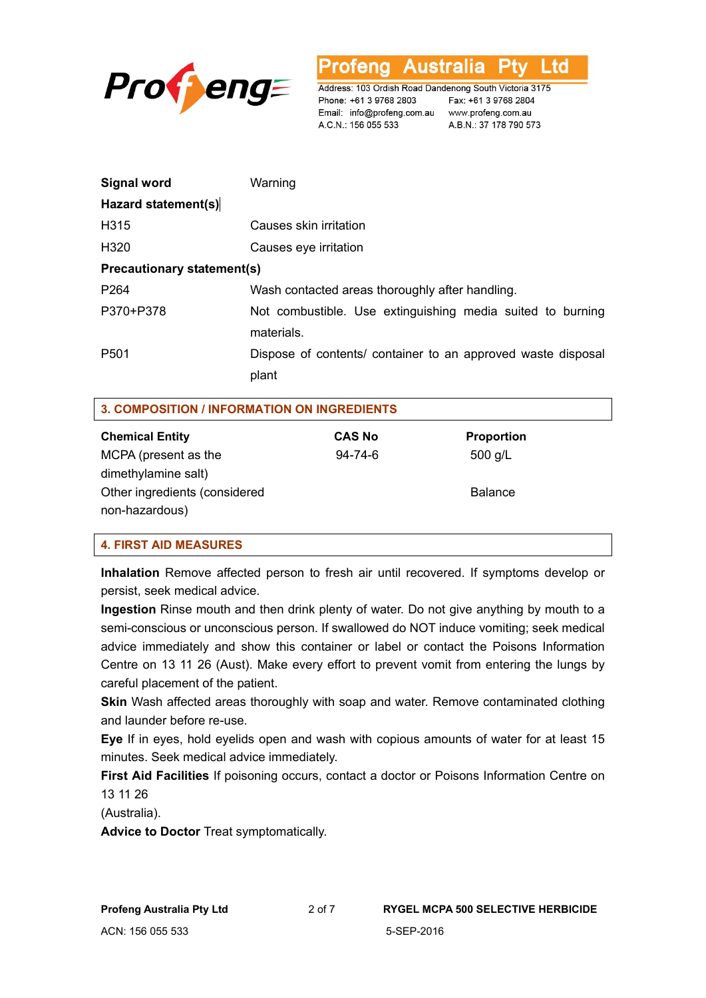

**Australia** L td ofena

Address: 103 Ordish Road Dandenong South Victoria 3175 Phone: +61 3 9768 2803 Email: info@profeng.com.au www.profeng.com.au A.C.N.: 156 055 533

Fax: +61 3 9768 2804 A.B.N.: 37 178 790 573

| <b>Signal word</b>                | Warning                                                                  |
|-----------------------------------|--------------------------------------------------------------------------|
| Hazard statement(s)               |                                                                          |
| H315                              | Causes skin irritation                                                   |
| H <sub>320</sub>                  | Causes eye irritation                                                    |
| <b>Precautionary statement(s)</b> |                                                                          |
| P <sub>264</sub>                  | Wash contacted areas thoroughly after handling.                          |
| P370+P378                         | Not combustible. Use extinguishing media suited to burning<br>materials. |
| P <sub>501</sub>                  | Dispose of contents/ container to an approved waste disposal<br>plant    |

|  | <b>3. COMPOSITION / INFORMATION ON INGREDIENTS</b> |  |
|--|----------------------------------------------------|--|
|  |                                                    |  |

| <b>Chemical Entity</b>        | <b>CAS No</b> | <b>Proportion</b> |
|-------------------------------|---------------|-------------------|
| MCPA (present as the          | $94 - 74 - 6$ | $500$ g/L         |
| dimethylamine salt)           |               |                   |
| Other ingredients (considered |               | <b>Balance</b>    |
| non-hazardous)                |               |                   |

#### **4. FIRST AID MEASURES**

**Inhalation** Remove affected person to fresh air until recovered. If symptoms develop or persist, seek medical advice.

**Ingestion** Rinse mouth and then drink plenty of water. Do not give anything by mouth to a semi-conscious or unconscious person. If swallowed do NOT induce vomiting; seek medical advice immediately and show this container or label or contact the Poisons Information Centre on 13 11 26 (Aust). Make every effort to prevent vomit from entering the lungs by careful placement of the patient.

**Skin** Wash affected areas thoroughly with soap and water. Remove contaminated clothing and launder before re-use.

**Eye** If in eyes, hold eyelids open and wash with copious amounts of water for at least 15 minutes. Seek medical advice immediately.

**First Aid Facilities** If poisoning occurs, contact a doctor or Poisons Information Centre on 13 11 26

(Australia).

**Advice to Doctor** Treat symptomatically.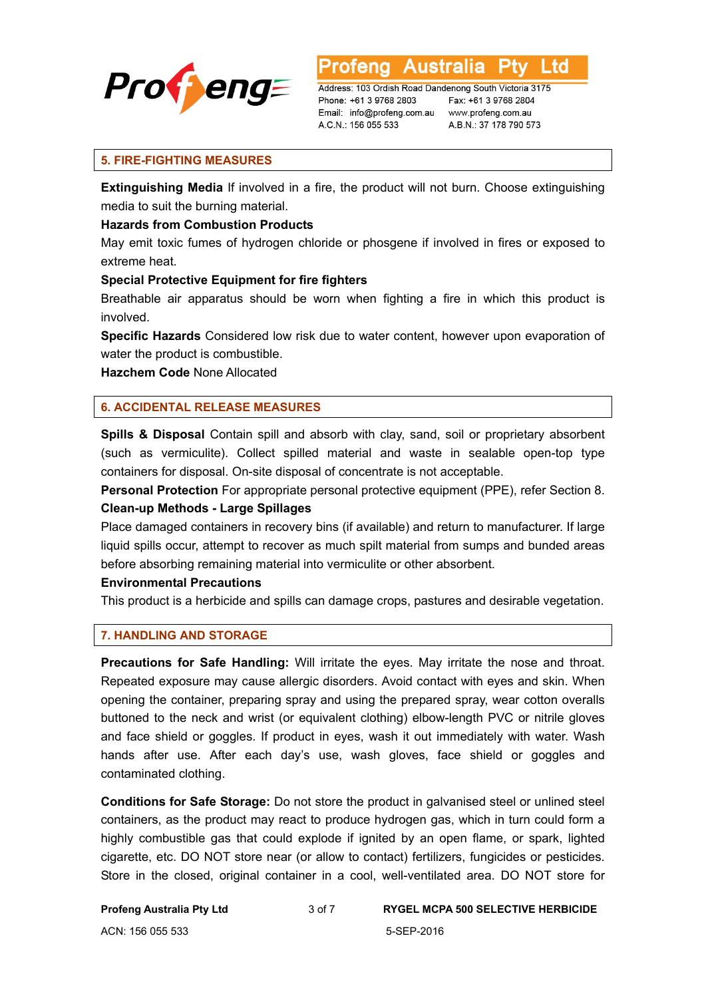

Australia L td

Address: 103 Ordish Road Dandenong South Victoria 3175 Phone: +61 3 9768 2803 Email: info@profeng.com.au A.C.N.: 156 055 533

Fax: +61 3 9768 2804 www.profeng.com.au A.B.N.: 37 178 790 573

#### **5. FIRE-FIGHTING MEASURES**

**Extinguishing Media** If involved in a fire, the product will not burn. Choose extinguishing media to suit the burning material.

#### **Hazards from Combustion Products**

May emit toxic fumes of hydrogen chloride or phosgene if involved in fires or exposed to extreme heat.

#### **Special Protective Equipment for fire fighters**

Breathable air apparatus should be worn when fighting a fire in which this product is involved.

**Specific Hazards** Considered low risk due to water content, however upon evaporation of water the product is combustible.

**Hazchem Code** None Allocated

# **6. ACCIDENTAL RELEASE MEASURES**

**Spills & Disposal** Contain spill and absorb with clay, sand, soil or proprietary absorbent (such as vermiculite). Collect spilled material and waste in sealable open-top type containers for disposal. On-site disposal of concentrate is not acceptable.

**Personal Protection** For appropriate personal protective equipment (PPE), refer Section 8. **Clean-up Methods - Large Spillages** 

Place damaged containers in recovery bins (if available) and return to manufacturer. If large liquid spills occur, attempt to recover as much spilt material from sumps and bunded areas before absorbing remaining material into vermiculite or other absorbent.

#### **Environmental Precautions**

This product is a herbicide and spills can damage crops, pastures and desirable vegetation.

# **7. HANDLING AND STORAGE**

**Precautions for Safe Handling:** Will irritate the eyes. May irritate the nose and throat. Repeated exposure may cause allergic disorders. Avoid contact with eyes and skin. When opening the container, preparing spray and using the prepared spray, wear cotton overalls buttoned to the neck and wrist (or equivalent clothing) elbow-length PVC or nitrile gloves and face shield or goggles. If product in eyes, wash it out immediately with water. Wash hands after use. After each day's use, wash gloves, face shield or goggles and contaminated clothing.

**Conditions for Safe Storage:** Do not store the product in galvanised steel or unlined steel containers, as the product may react to produce hydrogen gas, which in turn could form a highly combustible gas that could explode if ignited by an open flame, or spark, lighted cigarette, etc. DO NOT store near (or allow to contact) fertilizers, fungicides or pesticides. Store in the closed, original container in a cool, well-ventilated area. DO NOT store for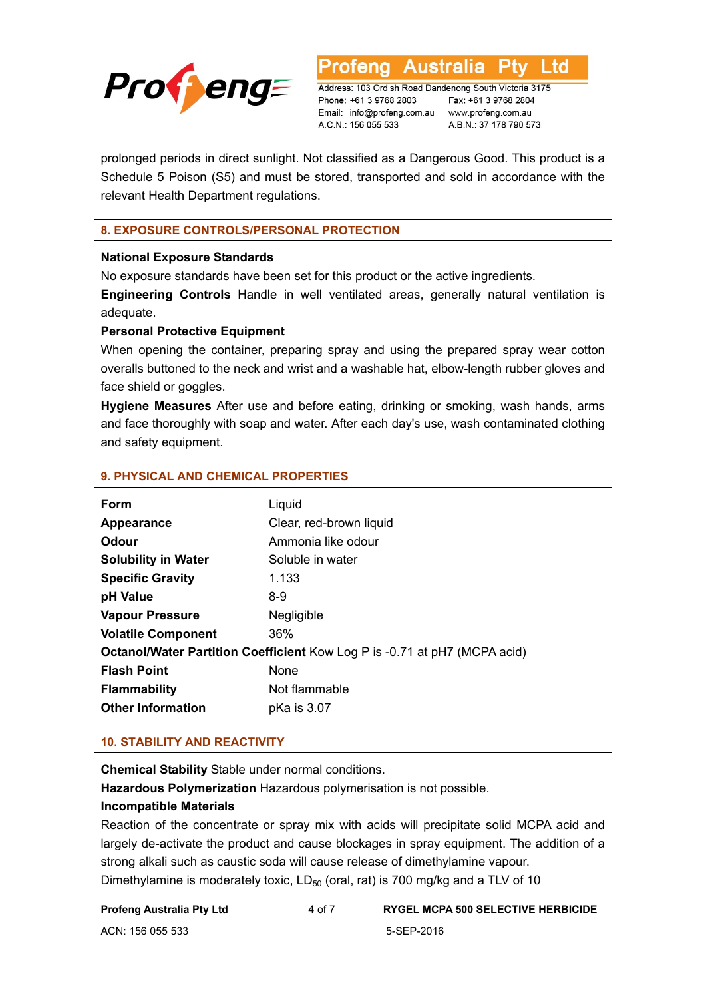

**Australia** L td fena

Address: 103 Ordish Road Dandenong South Victoria 3175 Phone: +61 3 9768 2803 Email: info@profeng.com.au www.profeng.com.au A.C.N.: 156 055 533

Fax: +61 3 9768 2804 A.B.N.: 37 178 790 573

prolonged periods in direct sunlight. Not classified as a Dangerous Good. This product is a Schedule 5 Poison (S5) and must be stored, transported and sold in accordance with the relevant Health Department regulations.

# **8. EXPOSURE CONTROLS/PERSONAL PROTECTION**

# **National Exposure Standards**

No exposure standards have been set for this product or the active ingredients.

**Engineering Controls** Handle in well ventilated areas, generally natural ventilation is adequate.

# **Personal Protective Equipment**

When opening the container, preparing spray and using the prepared spray wear cotton overalls buttoned to the neck and wrist and a washable hat, elbow-length rubber gloves and face shield or goggles.

**Hygiene Measures** After use and before eating, drinking or smoking, wash hands, arms and face thoroughly with soap and water. After each day's use, wash contaminated clothing and safety equipment.

# **9. PHYSICAL AND CHEMICAL PROPERTIES**

| Form                                                                             | Liquid                  |  |
|----------------------------------------------------------------------------------|-------------------------|--|
| Appearance                                                                       | Clear, red-brown liquid |  |
| Odour                                                                            | Ammonia like odour      |  |
| <b>Solubility in Water</b>                                                       | Soluble in water        |  |
| <b>Specific Gravity</b>                                                          | 1.133                   |  |
| pH Value                                                                         | 8-9                     |  |
| <b>Vapour Pressure</b>                                                           | Negligible              |  |
| <b>Volatile Component</b>                                                        | 36%                     |  |
| <b>Octanol/Water Partition Coefficient Kow Log P is -0.71 at pH7 (MCPA acid)</b> |                         |  |
| <b>Flash Point</b>                                                               | None                    |  |
| <b>Flammability</b>                                                              | Not flammable           |  |
| <b>Other Information</b>                                                         | pKa is 3.07             |  |

# **10. STABILITY AND REACTIVITY**

**Chemical Stability** Stable under normal conditions.

**Hazardous Polymerization** Hazardous polymerisation is not possible.

# **Incompatible Materials**

Reaction of the concentrate or spray mix with acids will precipitate solid MCPA acid and largely de-activate the product and cause blockages in spray equipment. The addition of a strong alkali such as caustic soda will cause release of dimethylamine vapour. Dimethylamine is moderately toxic,  $LD_{50}$  (oral, rat) is 700 mg/kg and a TLV of 10

#### **Profeng Australia Pty Ltd** 4 of 7 **RYGEL MCPA 500 SELECTIVE HERBICIDE**

ACN: 156 055 533 5-SEP-2016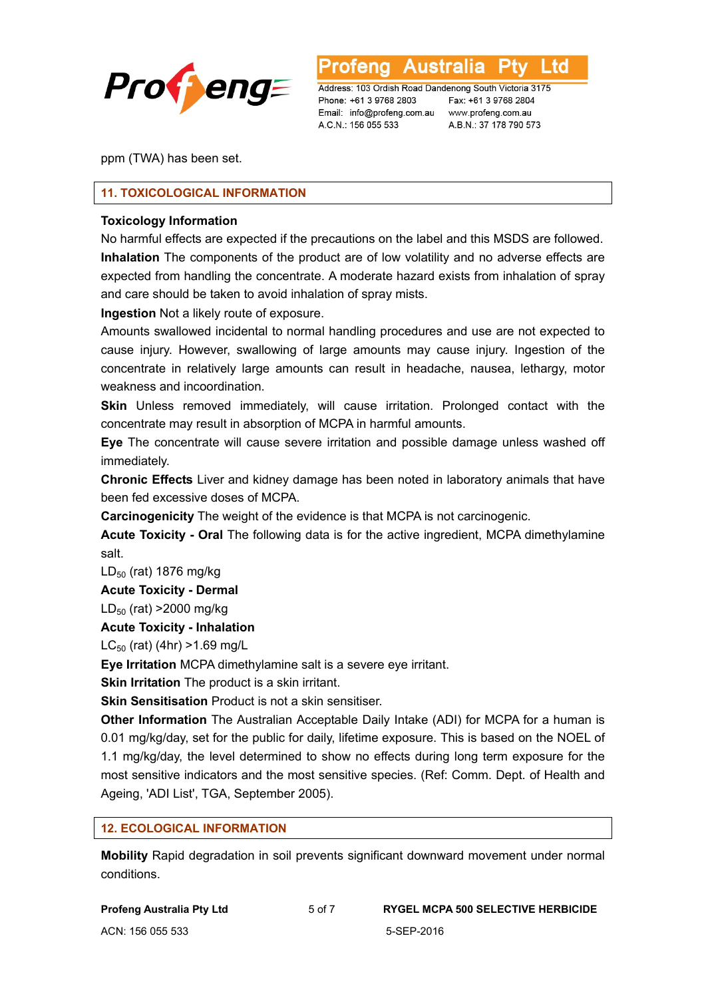

L td **Australia** 

Address: 103 Ordish Road Dandenong South Victoria 3175 Phone: +61 3 9768 2803 Email: info@profeng.com.au www.profeng.com.au A.C.N.: 156 055 533

Fax: +61 3 9768 2804 A.B.N.: 37 178 790 573

ppm (TWA) has been set.

# **11. TOXICOLOGICAL INFORMATION**

#### **Toxicology Information**

No harmful effects are expected if the precautions on the label and this MSDS are followed. **Inhalation** The components of the product are of low volatility and no adverse effects are expected from handling the concentrate. A moderate hazard exists from inhalation of spray and care should be taken to avoid inhalation of spray mists.

**Ingestion** Not a likely route of exposure.

Amounts swallowed incidental to normal handling procedures and use are not expected to cause injury. However, swallowing of large amounts may cause injury. Ingestion of the concentrate in relatively large amounts can result in headache, nausea, lethargy, motor weakness and incoordination.

**Skin** Unless removed immediately, will cause irritation. Prolonged contact with the concentrate may result in absorption of MCPA in harmful amounts.

**Eye** The concentrate will cause severe irritation and possible damage unless washed off immediately.

**Chronic Effects** Liver and kidney damage has been noted in laboratory animals that have been fed excessive doses of MCPA.

**Carcinogenicity** The weight of the evidence is that MCPA is not carcinogenic.

**Acute Toxicity - Oral** The following data is for the active ingredient, MCPA dimethylamine salt.

LD<sub>50</sub> (rat) 1876 mg/kg

#### **Acute Toxicity - Dermal**

 $LD_{50}$  (rat) >2000 mg/kg

#### **Acute Toxicity - Inhalation**

 $LC_{50}$  (rat) (4hr) > 1.69 mg/L

**Eye Irritation** MCPA dimethylamine salt is a severe eye irritant.

**Skin Irritation** The product is a skin irritant.

**Skin Sensitisation** Product is not a skin sensitiser.

**Other Information** The Australian Acceptable Daily Intake (ADI) for MCPA for a human is 0.01 mg/kg/day, set for the public for daily, lifetime exposure. This is based on the NOEL of 1.1 mg/kg/day, the level determined to show no effects during long term exposure for the most sensitive indicators and the most sensitive species. (Ref: Comm. Dept. of Health and Ageing, 'ADI List', TGA, September 2005).

# **12. ECOLOGICAL INFORMATION**

**Mobility** Rapid degradation in soil prevents significant downward movement under normal conditions.

| <b>Profeng Australia Pty Ltd</b> |  |
|----------------------------------|--|
| ACN: 156 055 533                 |  |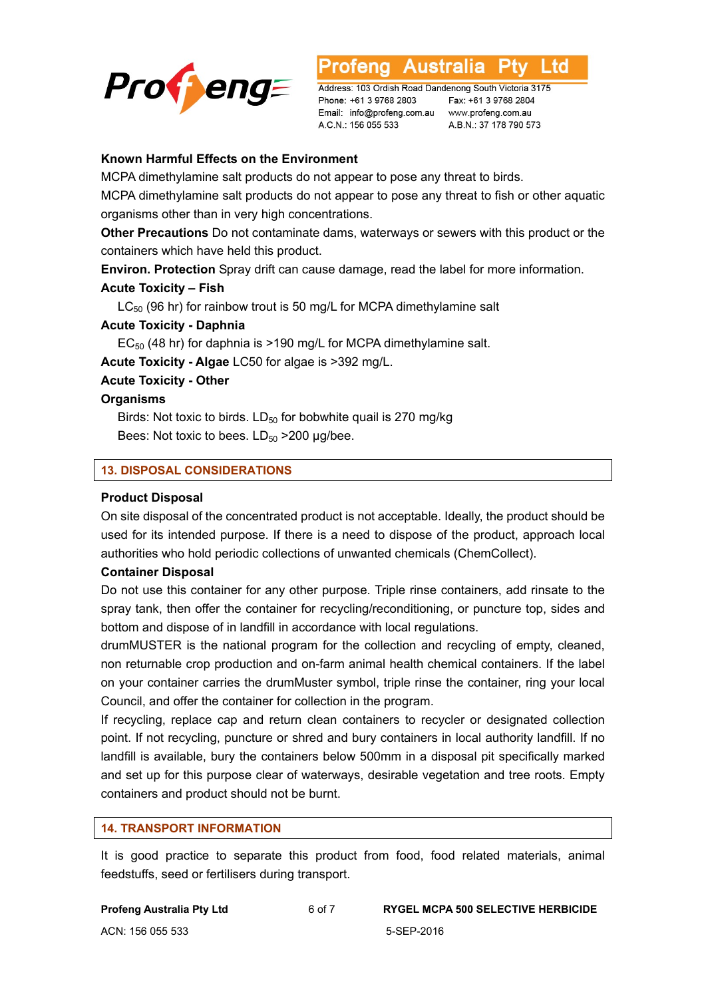

Australia L td

Address: 103 Ordish Road Dandenong South Victoria 3175 Phone: +61 3 9768 2803 Email: info@profeng.com.au www.profeng.com.au A.C.N.: 156 055 533

Fax: +61 3 9768 2804 A.B.N.: 37 178 790 573

#### **Known Harmful Effects on the Environment**

MCPA dimethylamine salt products do not appear to pose any threat to birds.

MCPA dimethylamine salt products do not appear to pose any threat to fish or other aquatic organisms other than in very high concentrations.

**Other Precautions** Do not contaminate dams, waterways or sewers with this product or the containers which have held this product.

**Environ. Protection** Spray drift can cause damage, read the label for more information.

#### **Acute Toxicity – Fish**

 $LC_{50}$  (96 hr) for rainbow trout is 50 mg/L for MCPA dimethylamine salt

# **Acute Toxicity - Daphnia**

 $EC_{50}$  (48 hr) for daphnia is >190 mg/L for MCPA dimethylamine salt.

**Acute Toxicity - Algae** LC50 for algae is >392 mg/L.

#### **Acute Toxicity - Other**

#### **Organisms**

Birds: Not toxic to birds.  $LD_{50}$  for bobwhite quail is 270 mg/kg Bees: Not toxic to bees.  $LD_{50} > 200$  ug/bee.

#### **13. DISPOSAL CONSIDERATIONS**

#### **Product Disposal**

On site disposal of the concentrated product is not acceptable. Ideally, the product should be used for its intended purpose. If there is a need to dispose of the product, approach local authorities who hold periodic collections of unwanted chemicals (ChemCollect).

#### **Container Disposal**

Do not use this container for any other purpose. Triple rinse containers, add rinsate to the spray tank, then offer the container for recycling/reconditioning, or puncture top, sides and bottom and dispose of in landfill in accordance with local regulations.

drumMUSTER is the national program for the collection and recycling of empty, cleaned, non returnable crop production and on-farm animal health chemical containers. If the label on your container carries the drumMuster symbol, triple rinse the container, ring your local Council, and offer the container for collection in the program.

If recycling, replace cap and return clean containers to recycler or designated collection point. If not recycling, puncture or shred and bury containers in local authority landfill. If no landfill is available, bury the containers below 500mm in a disposal pit specifically marked and set up for this purpose clear of waterways, desirable vegetation and tree roots. Empty containers and product should not be burnt.

#### **14. TRANSPORT INFORMATION**

It is good practice to separate this product from food, food related materials, animal feedstuffs, seed or fertilisers during transport.